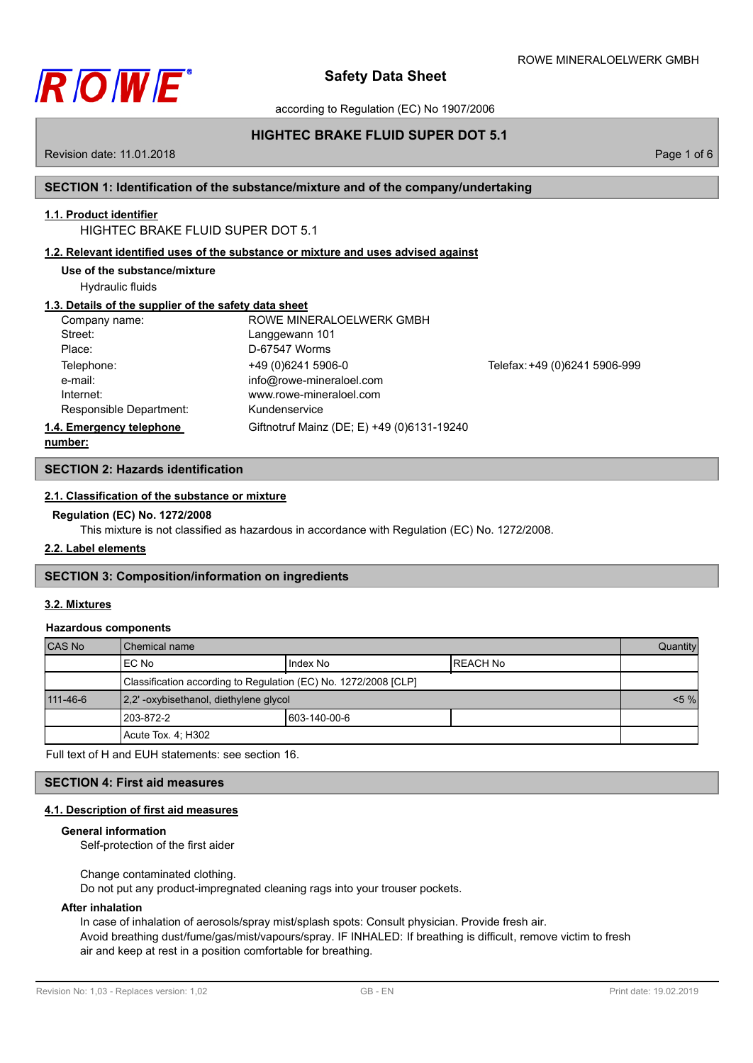

according to Regulation (EC) No 1907/2006

# **HIGHTEC BRAKE FLUID SUPER DOT 5.1**

Revision date: 11.01.2018 Page 1 of 6

# **SECTION 1: Identification of the substance/mixture and of the company/undertaking**

# **1.1. Product identifier**

# HIGHTEC BRAKE FLUID SUPER DOT 5.1

## **1.2. Relevant identified uses of the substance or mixture and uses advised against**

Hydraulic fluids

## **1.3. Details of the supplier of the safety data sheet**

| Company name:            | ROWE MINERALOELWERK GMBH                   |                               |
|--------------------------|--------------------------------------------|-------------------------------|
| Street:                  | Langgewann 101                             |                               |
| Place:                   | D-67547 Worms                              |                               |
| Telephone:               | +49 (0) 6241 5906-0                        | Telefax: +49 (0)6241 5906-999 |
| e-mail:                  | info@rowe-mineraloel.com                   |                               |
| Internet:                | www.rowe-mineraloel.com                    |                               |
| Responsible Department:  | Kundenservice                              |                               |
| 1.4. Emergency telephone | Giftnotruf Mainz (DE; E) +49 (0)6131-19240 |                               |
| numhor:                  |                                            |                               |

**number:**

## **SECTION 2: Hazards identification**

## **2.1. Classification of the substance or mixture**

## **Regulation (EC) No. 1272/2008**

This mixture is not classified as hazardous in accordance with Regulation (EC) No. 1272/2008.

## **2.2. Label elements**

## **SECTION 3: Composition/information on ingredients**

## **3.2. Mixtures**

## **Hazardous components**

| <b>CAS No</b> | Chemical name                                                   |               |                  | Quantity |
|---------------|-----------------------------------------------------------------|---------------|------------------|----------|
|               | IEC No                                                          | Index No      | <b>IREACH No</b> |          |
|               | Classification according to Regulation (EC) No. 1272/2008 [CLP] |               |                  |          |
| 111-46-6      | [2,2'-oxybisethanol, diethylene glycol]                         |               |                  | $< 5 \%$ |
|               | 1203-872-2                                                      | 1603-140-00-6 |                  |          |
|               | Acute Tox. 4: H302                                              |               |                  |          |

Full text of H and EUH statements: see section 16.

## **SECTION 4: First aid measures**

## **4.1. Description of first aid measures**

## **General information**

Self-protection of the first aider

Change contaminated clothing.

Do not put any product-impregnated cleaning rags into your trouser pockets.

## **After inhalation**

In case of inhalation of aerosols/spray mist/splash spots: Consult physician. Provide fresh air. Avoid breathing dust/fume/gas/mist/vapours/spray. IF INHALED: If breathing is difficult, remove victim to fresh air and keep at rest in a position comfortable for breathing.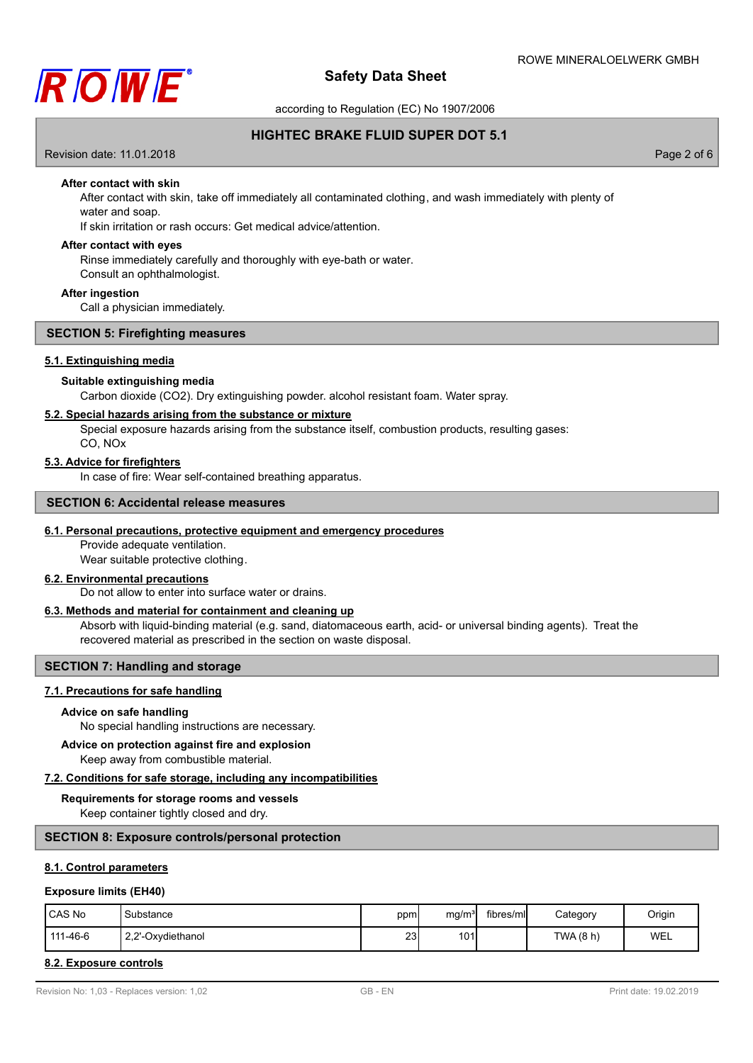

according to Regulation (EC) No 1907/2006

## **HIGHTEC BRAKE FLUID SUPER DOT 5.1**

Revision date: 11.01.2018 Page 2 of 6

## **After contact with skin**

After contact with skin, take off immediately all contaminated clothing, and wash immediately with plenty of water and soap.

If skin irritation or rash occurs: Get medical advice/attention.

### **After contact with eyes**

Rinse immediately carefully and thoroughly with eye-bath or water. Consult an ophthalmologist.

#### **After ingestion**

Call a physician immediately.

## **SECTION 5: Firefighting measures**

#### **5.1. Extinguishing media**

## **Suitable extinguishing media**

Carbon dioxide (CO2). Dry extinguishing powder. alcohol resistant foam. Water spray.

## **5.2. Special hazards arising from the substance or mixture**

Special exposure hazards arising from the substance itself, combustion products, resulting gases:

CO, NOx

## **5.3. Advice for firefighters**

In case of fire: Wear self-contained breathing apparatus.

#### **SECTION 6: Accidental release measures**

## **6.1. Personal precautions, protective equipment and emergency procedures**

Provide adequate ventilation. Wear suitable protective clothing.

## **6.2. Environmental precautions**

Do not allow to enter into surface water or drains.

## **6.3. Methods and material for containment and cleaning up**

Absorb with liquid-binding material (e.g. sand, diatomaceous earth, acid- or universal binding agents). Treat the recovered material as prescribed in the section on waste disposal.

## **SECTION 7: Handling and storage**

## **7.1. Precautions for safe handling**

#### **Advice on safe handling**

No special handling instructions are necessary.

## **Advice on protection against fire and explosion**

Keep away from combustible material.

#### **7.2. Conditions for safe storage, including any incompatibilities**

#### **Requirements for storage rooms and vessels**

Keep container tightly closed and dry.

## **SECTION 8: Exposure controls/personal protection**

## **8.1. Control parameters**

#### **Exposure limits (EH40)**

| CAS No   | Substance         | ppm | mq/m <sup>3</sup> | fibres/mll | Category  | Origin |
|----------|-------------------|-----|-------------------|------------|-----------|--------|
| 111-46-6 | 2,2'-Oxydiethanol | 23  | 101               |            | TWA (8 h) | WEL    |

### **8.2. Exposure controls**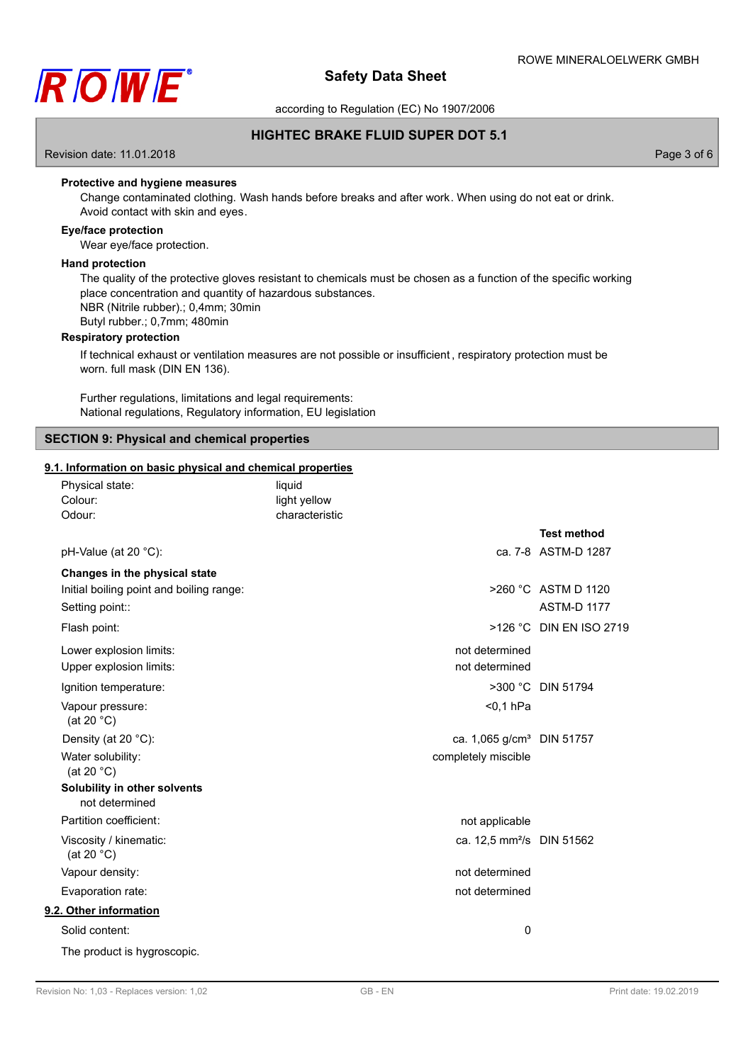

according to Regulation (EC) No 1907/2006

## **HIGHTEC BRAKE FLUID SUPER DOT 5.1**

Revision date: 11.01.2018 Page 3 of 6

## **Protective and hygiene measures**

Change contaminated clothing. Wash hands before breaks and after work. When using do not eat or drink. Avoid contact with skin and eyes.

## **Eye/face protection**

Wear eye/face protection.

#### **Hand protection**

The quality of the protective gloves resistant to chemicals must be chosen as a function of the specific working place concentration and quantity of hazardous substances. NBR (Nitrile rubber).; 0,4mm; 30min Butyl rubber.; 0,7mm; 480min

## **Respiratory protection**

If technical exhaust or ventilation measures are not possible or insufficient , respiratory protection must be worn. full mask (DIN EN 136).

Further regulations, limitations and legal requirements: National regulations, Regulatory information, EU legislation

## **SECTION 9: Physical and chemical properties**

## **9.1. Information on basic physical and chemical properties**

| Colour:<br>Odour: | Physical state:                                | liquid<br>light yellow<br>characteristic |                                       |                         |
|-------------------|------------------------------------------------|------------------------------------------|---------------------------------------|-------------------------|
|                   |                                                |                                          |                                       | <b>Test method</b>      |
|                   | pH-Value (at 20 °C):                           |                                          |                                       | ca. 7-8 ASTM-D 1287     |
|                   | Changes in the physical state                  |                                          |                                       |                         |
|                   | Initial boiling point and boiling range:       |                                          |                                       | >260 °C ASTM D 1120     |
|                   | Setting point::                                |                                          |                                       | <b>ASTM-D 1177</b>      |
|                   | Flash point:                                   |                                          |                                       | >126 °C DIN EN ISO 2719 |
|                   | Lower explosion limits:                        |                                          | not determined                        |                         |
|                   | Upper explosion limits:                        |                                          | not determined                        |                         |
|                   | Ignition temperature:                          |                                          |                                       | >300 °C DIN 51794       |
|                   | Vapour pressure:<br>(at 20 $°C$ )              |                                          | $0,1$ hPa                             |                         |
|                   | Density (at 20 °C):                            |                                          | ca. 1,065 g/cm <sup>3</sup> DIN 51757 |                         |
|                   | Water solubility:<br>(at 20 $°C$ )             |                                          | completely miscible                   |                         |
|                   | Solubility in other solvents<br>not determined |                                          |                                       |                         |
|                   | Partition coefficient:                         |                                          | not applicable                        |                         |
|                   | Viscosity / kinematic:<br>(at 20 $°C$ )        |                                          | ca. 12,5 mm <sup>2</sup> /s DIN 51562 |                         |
|                   | Vapour density:                                |                                          | not determined                        |                         |
|                   | Evaporation rate:                              |                                          | not determined                        |                         |
|                   | 9.2. Other information                         |                                          |                                       |                         |
|                   | Solid content:                                 |                                          | 0                                     |                         |
|                   | The product is hygroscopic.                    |                                          |                                       |                         |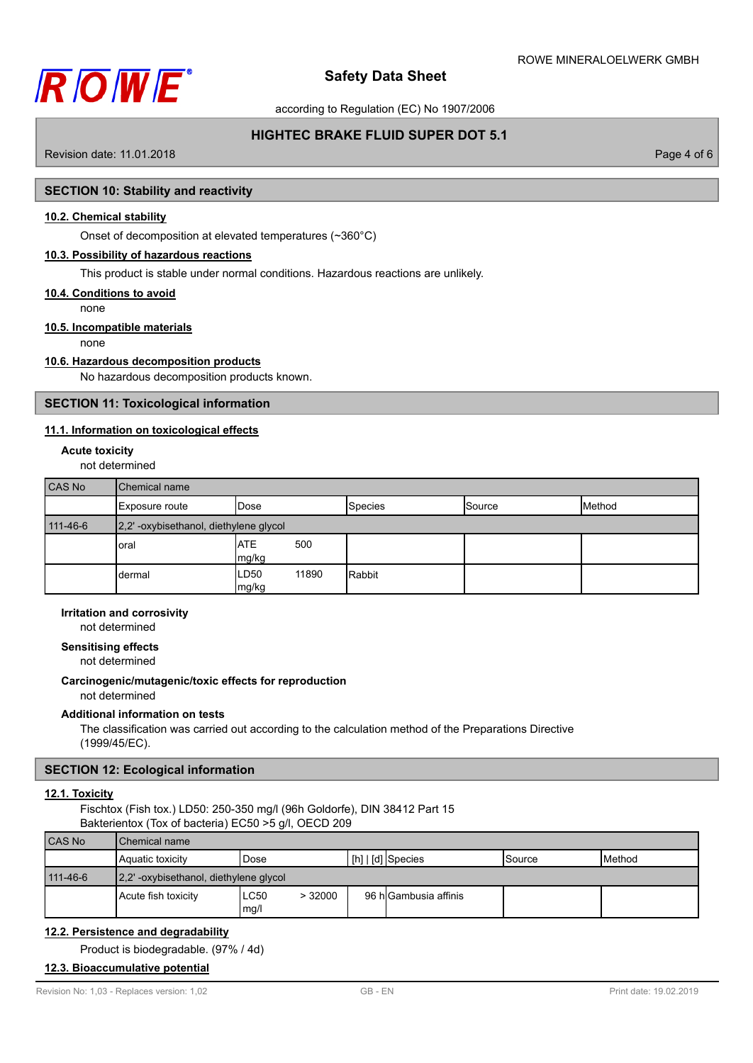

according to Regulation (EC) No 1907/2006

## **HIGHTEC BRAKE FLUID SUPER DOT 5.1**

Revision date: 11.01.2018 **Page 4 of 6** and 2011 **Page 4 of 6** and 2012 **Page 4 of 6** and 2012 **Page 4 of 6** and 2012 **Page 4 of 6** 

## **SECTION 10: Stability and reactivity**

## **10.2. Chemical stability**

Onset of decomposition at elevated temperatures (~360°C)

## **10.3. Possibility of hazardous reactions**

This product is stable under normal conditions. Hazardous reactions are unlikely.

## **10.4. Conditions to avoid**

none **10.5. Incompatible materials**

none

## **10.6. Hazardous decomposition products**

No hazardous decomposition products known.

## **SECTION 11: Toxicological information**

## **11.1. Information on toxicological effects**

#### **Acute toxicity**

not determined

| CAS No   | <b>Chemical name</b>                  |                                    |                |        |        |
|----------|---------------------------------------|------------------------------------|----------------|--------|--------|
|          | Exposure route                        | <b>I</b> Dose                      | <b>Species</b> | Source | Method |
| 111-46-6 | 2,2'-oxybisethanol, diethylene glycol |                                    |                |        |        |
|          | oral                                  | <b>ATE</b><br>500<br>mg/kg         |                |        |        |
|          | dermal                                | 11890<br>LD <sub>50</sub><br>mg/kg | Rabbit         |        |        |

## **Irritation and corrosivity**

not determined

## **Sensitising effects**

not determined

#### **Carcinogenic/mutagenic/toxic effects for reproduction**

not determined

## **Additional information on tests**

The classification was carried out according to the calculation method of the Preparations Directive (1999/45/EC).

## **SECTION 12: Ecological information**

## **12.1. Toxicity**

Fischtox (Fish tox.) LD50: 250-350 mg/l (96h Goldorfe), DIN 38412 Part 15 Bakterientox (Tox of bacteria) EC50 >5 g/l, OECD 209

| <b>CAS No</b> | <b>Chemical name</b>                     |                        |                       |                 |                 |
|---------------|------------------------------------------|------------------------|-----------------------|-----------------|-----------------|
|               | Aquatic toxicity                         | Dose                   | [h]   [d] Species     | <b>I</b> Source | <b>I</b> Method |
| 111-46-6      | [2,2' -oxybisethanol, diethylene glycol] |                        |                       |                 |                 |
|               | Acute fish toxicity                      | LC50<br>>32000<br>mg/l | 96 hlGambusia affinis |                 |                 |

## **12.2. Persistence and degradability**

Product is biodegradable. (97% / 4d)

# **12.3. Bioaccumulative potential**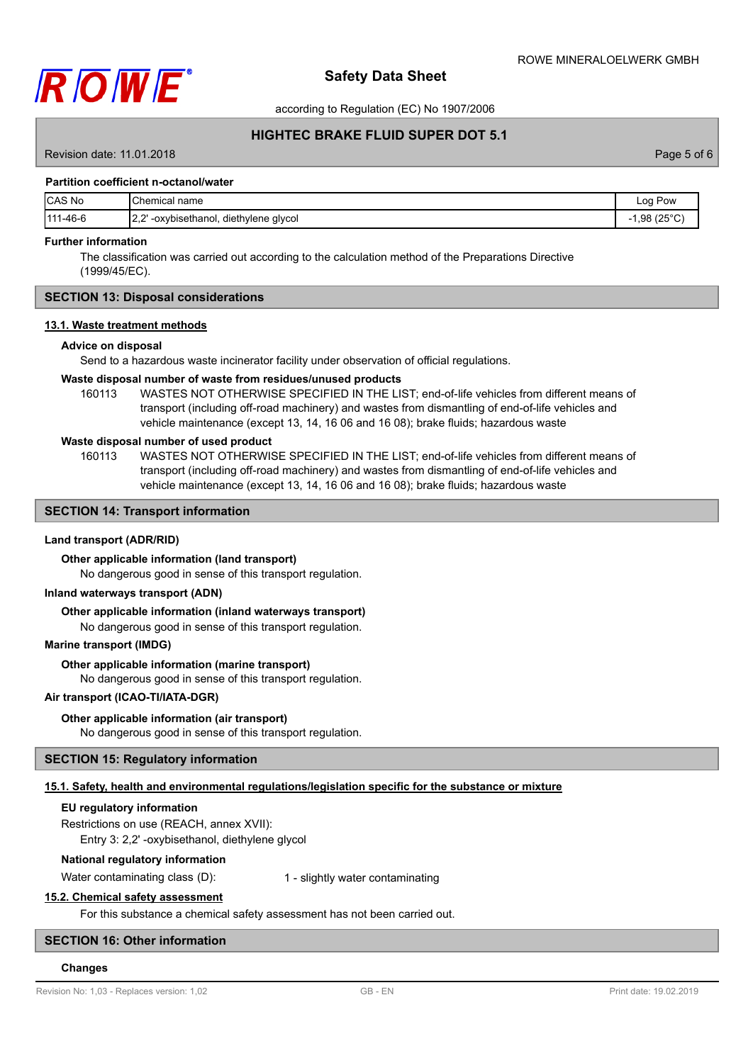

according to Regulation (EC) No 1907/2006

## **HIGHTEC BRAKE FLUID SUPER DOT 5.1**

Revision date: 11.01.2018 **Page 5 of 6** and 2011 **Page 12.01.2018** Page 5 of 6

### **Partition coefficient n-octanol/water**

| <b>ICAS No</b> | Chemical name                                         | Pow<br>Log                         |
|----------------|-------------------------------------------------------|------------------------------------|
| 111-46-6       | י הו<br>' -oxybisethanol,<br>diethylene glycol<br>ے۔ے | $.98(25^{\circ}\mathrm{C})$<br>- 1 |

## **Further information**

The classification was carried out according to the calculation method of the Preparations Directive (1999/45/EC).

## **SECTION 13: Disposal considerations**

#### **13.1. Waste treatment methods**

#### **Advice on disposal**

Send to a hazardous waste incinerator facility under observation of official regulations.

#### **Waste disposal number of waste from residues/unused products**

160113 WASTES NOT OTHERWISE SPECIFIED IN THE LIST; end-of-life vehicles from different means of transport (including off-road machinery) and wastes from dismantling of end-of-life vehicles and vehicle maintenance (except 13, 14, 16 06 and 16 08); brake fluids; hazardous waste

## **Waste disposal number of used product**

WASTES NOT OTHERWISE SPECIFIED IN THE LIST; end-of-life vehicles from different means of transport (including off-road machinery) and wastes from dismantling of end-of-life vehicles and vehicle maintenance (except 13, 14, 16 06 and 16 08); brake fluids; hazardous waste 160113

## **SECTION 14: Transport information**

## **Land transport (ADR/RID)**

#### **Other applicable information (land transport)**

No dangerous good in sense of this transport regulation.

## **Inland waterways transport (ADN)**

**Other applicable information (inland waterways transport)**

No dangerous good in sense of this transport regulation.

#### **Marine transport (IMDG)**

### **Other applicable information (marine transport)**

No dangerous good in sense of this transport regulation.

#### **Air transport (ICAO-TI/IATA-DGR)**

### **Other applicable information (air transport)**

No dangerous good in sense of this transport regulation.

## **SECTION 15: Regulatory information**

## **15.1. Safety, health and environmental regulations/legislation specific for the substance or mixture**

### **EU regulatory information**

Restrictions on use (REACH, annex XVII):

Entry 3: 2,2' -oxybisethanol, diethylene glycol

## **National regulatory information**

Water contaminating class (D): 1 - slightly water contaminating

## **15.2. Chemical safety assessment**

For this substance a chemical safety assessment has not been carried out.

## **SECTION 16: Other information**

#### **Changes**